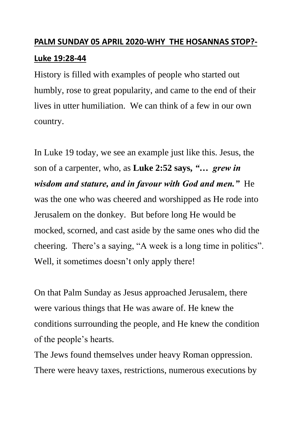## **PALM SUNDAY 05 APRIL 2020-WHY THE HOSANNAS STOP?- Luke 19:28-44**

History is filled with examples of people who started out humbly, rose to great popularity, and came to the end of their lives in utter humiliation. We can think of a few in our own country.

In Luke 19 today, we see an example just like this. Jesus, the son of a carpenter, who, as **Luke 2:52 says,** *"… grew in wisdom and stature, and in favour with God and men."* He was the one who was cheered and worshipped as He rode into Jerusalem on the donkey. But before long He would be mocked, scorned, and cast aside by the same ones who did the cheering. There's a saying, "A week is a long time in politics". Well, it sometimes doesn't only apply there!

On that Palm Sunday as Jesus approached Jerusalem, there were various things that He was aware of. He knew the conditions surrounding the people, and He knew the condition of the people's hearts.

The Jews found themselves under heavy Roman oppression. There were heavy taxes, restrictions, numerous executions by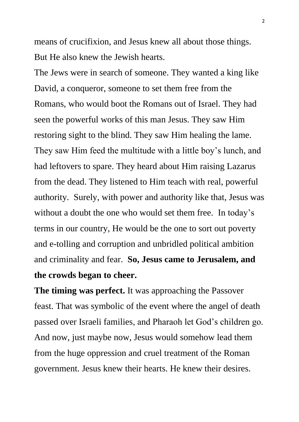means of crucifixion, and Jesus knew all about those things. But He also knew the Jewish hearts.

The Jews were in search of someone. They wanted a king like David, a conqueror, someone to set them free from the Romans, who would boot the Romans out of Israel. They had seen the powerful works of this man Jesus. They saw Him restoring sight to the blind. They saw Him healing the lame. They saw Him feed the multitude with a little boy's lunch, and had leftovers to spare. They heard about Him raising Lazarus from the dead. They listened to Him teach with real, powerful authority. Surely, with power and authority like that, Jesus was without a doubt the one who would set them free. In today's terms in our country, He would be the one to sort out poverty and e-tolling and corruption and unbridled political ambition and criminality and fear. **So, Jesus came to Jerusalem, and the crowds began to cheer.**

**The timing was perfect.** It was approaching the Passover feast. That was symbolic of the event where the angel of death passed over Israeli families, and Pharaoh let God's children go. And now, just maybe now, Jesus would somehow lead them from the huge oppression and cruel treatment of the Roman government. Jesus knew their hearts. He knew their desires.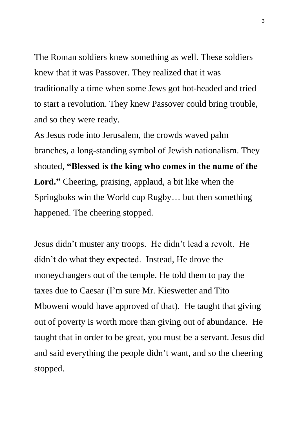The Roman soldiers knew something as well. These soldiers knew that it was Passover. They realized that it was traditionally a time when some Jews got hot-headed and tried to start a revolution. They knew Passover could bring trouble, and so they were ready.

As Jesus rode into Jerusalem, the crowds waved palm branches, a long-standing symbol of Jewish nationalism. They shouted, **"Blessed is the king who comes in the name of the**  Lord." Cheering, praising, applaud, a bit like when the Springboks win the World cup Rugby… but then something happened. The cheering stopped.

Jesus didn't muster any troops. He didn't lead a revolt. He didn't do what they expected. Instead, He drove the moneychangers out of the temple. He told them to pay the taxes due to Caesar (I'm sure Mr. Kieswetter and Tito Mboweni would have approved of that). He taught that giving out of poverty is worth more than giving out of abundance. He taught that in order to be great, you must be a servant. Jesus did and said everything the people didn't want, and so the cheering stopped.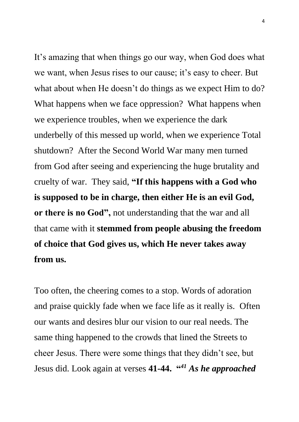It's amazing that when things go our way, when God does what we want, when Jesus rises to our cause; it's easy to cheer. But what about when He doesn't do things as we expect Him to do? What happens when we face oppression? What happens when we experience troubles, when we experience the dark underbelly of this messed up world, when we experience Total shutdown? After the Second World War many men turned from God after seeing and experiencing the huge brutality and cruelty of war. They said, **"If this happens with a God who is supposed to be in charge, then either He is an evil God, or there is no God",** not understanding that the war and all that came with it **stemmed from people abusing the freedom of choice that God gives us, which He never takes away from us.**

Too often, the cheering comes to a stop. Words of adoration and praise quickly fade when we face life as it really is. Often our wants and desires blur our vision to our real needs. The same thing happened to the crowds that lined the Streets to cheer Jesus. There were some things that they didn't see, but Jesus did. Look again at verses **41-44. "** *<sup>41</sup> As he approached*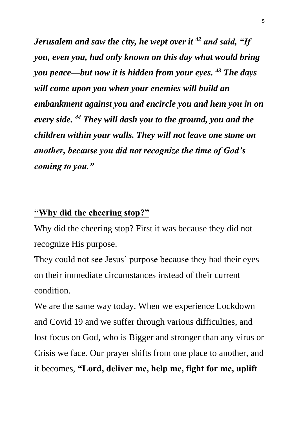*Jerusalem and saw the city, he wept over it <sup>42</sup> and said, "If you, even you, had only known on this day what would bring you peace—but now it is hidden from your eyes. <sup>43</sup> The days will come upon you when your enemies will build an embankment against you and encircle you and hem you in on every side. <sup>44</sup> They will dash you to the ground, you and the children within your walls. They will not leave one stone on another, because you did not recognize the time of God's coming to you."*

## **"Why did the cheering stop?"**

Why did the cheering stop? First it was because they did not recognize His purpose.

They could not see Jesus' purpose because they had their eyes on their immediate circumstances instead of their current condition.

We are the same way today. When we experience Lockdown and Covid 19 and we suffer through various difficulties, and lost focus on God, who is Bigger and stronger than any virus or Crisis we face. Our prayer shifts from one place to another, and it becomes, **"Lord, deliver me, help me, fight for me, uplift**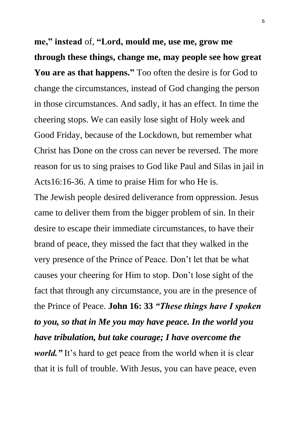**me," instead** of, **"Lord, mould me, use me, grow me through these things, change me, may people see how great You are as that happens."** Too often the desire is for God to change the circumstances, instead of God changing the person in those circumstances. And sadly, it has an effect. In time the cheering stops. We can easily lose sight of Holy week and Good Friday, because of the Lockdown, but remember what Christ has Done on the cross can never be reversed. The more reason for us to sing praises to God like Paul and Silas in jail in Acts16:16-36. A time to praise Him for who He is.

The Jewish people desired deliverance from oppression. Jesus came to deliver them from the bigger problem of sin. In their desire to escape their immediate circumstances, to have their brand of peace, they missed the fact that they walked in the very presence of the Prince of Peace. Don't let that be what causes your cheering for Him to stop. Don't lose sight of the fact that through any circumstance, you are in the presence of the Prince of Peace. **John 16: 33** *"These things have I spoken to you, so that in Me you may have peace. In the world you have tribulation, but take courage; I have overcome the world.*" It's hard to get peace from the world when it is clear that it is full of trouble. With Jesus, you can have peace, even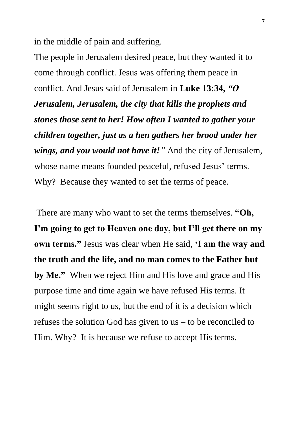in the middle of pain and suffering.

The people in Jerusalem desired peace, but they wanted it to come through conflict. Jesus was offering them peace in conflict. And Jesus said of Jerusalem in **Luke 13:34,** *"O Jerusalem, Jerusalem, the city that kills the prophets and stones those sent to her! How often I wanted to gather your children together, just as a hen gathers her brood under her wings, and you would not have it!"* And the city of Jerusalem, whose name means founded peaceful, refused Jesus' terms. Why? Because they wanted to set the terms of peace.

There are many who want to set the terms themselves. **"Oh, I'm going to get to Heaven one day, but I'll get there on my own terms."** Jesus was clear when He said, **'I am the way and the truth and the life, and no man comes to the Father but by Me."** When we reject Him and His love and grace and His purpose time and time again we have refused His terms. It might seems right to us, but the end of it is a decision which refuses the solution God has given to us – to be reconciled to Him. Why? It is because we refuse to accept His terms.